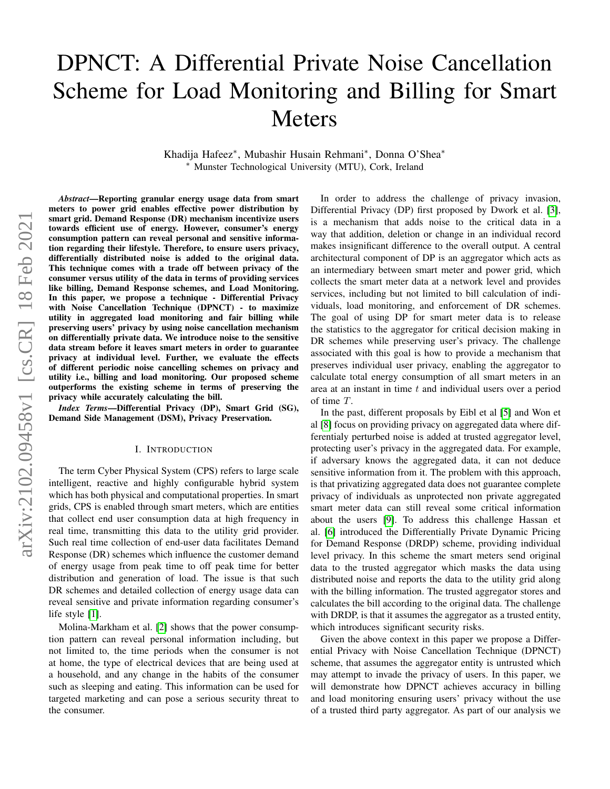# DPNCT: A Differential Private Noise Cancellation Scheme for Load Monitoring and Billing for Smart Meters

Khadija Hafeez<sup>∗</sup> , Mubashir Husain Rehmani<sup>∗</sup> , Donna O'Shea<sup>∗</sup> <sup>∗</sup> Munster Technological University (MTU), Cork, Ireland

*Abstract*—Reporting granular energy usage data from smart meters to power grid enables effective power distribution by smart grid. Demand Response (DR) mechanism incentivize users towards efficient use of energy. However, consumer's energy consumption pattern can reveal personal and sensitive information regarding their lifestyle. Therefore, to ensure users privacy, differentially distributed noise is added to the original data. This technique comes with a trade off between privacy of the consumer versus utility of the data in terms of providing services like billing, Demand Response schemes, and Load Monitoring. In this paper, we propose a technique - Differential Privacy with Noise Cancellation Technique (DPNCT) - to maximize utility in aggregated load monitoring and fair billing while preserving users' privacy by using noise cancellation mechanism on differentially private data. We introduce noise to the sensitive data stream before it leaves smart meters in order to guarantee privacy at individual level. Further, we evaluate the effects of different periodic noise cancelling schemes on privacy and utility i.e., billing and load monitoring. Our proposed scheme outperforms the existing scheme in terms of preserving the privacy while accurately calculating the bill.

*Index Terms*—Differential Privacy (DP), Smart Grid (SG), Demand Side Management (DSM), Privacy Preservation.

#### I. INTRODUCTION

The term Cyber Physical System (CPS) refers to large scale intelligent, reactive and highly configurable hybrid system which has both physical and computational properties. In smart grids, CPS is enabled through smart meters, which are entities that collect end user consumption data at high frequency in real time, transmitting this data to the utility grid provider. Such real time collection of end-user data facilitates Demand Response (DR) schemes which influence the customer demand of energy usage from peak time to off peak time for better distribution and generation of load. The issue is that such DR schemes and detailed collection of energy usage data can reveal sensitive and private information regarding consumer's life style [\[1\]](#page-5-0).

Molina-Markham et al. [\[2\]](#page-5-1) shows that the power consumption pattern can reveal personal information including, but not limited to, the time periods when the consumer is not at home, the type of electrical devices that are being used at a household, and any change in the habits of the consumer such as sleeping and eating. This information can be used for targeted marketing and can pose a serious security threat to the consumer.

In order to address the challenge of privacy invasion, Differential Privacy (DP) first proposed by Dwork et al. [\[3\]](#page-5-2), is a mechanism that adds noise to the critical data in a way that addition, deletion or change in an individual record makes insignificant difference to the overall output. A central architectural component of DP is an aggregator which acts as an intermediary between smart meter and power grid, which collects the smart meter data at a network level and provides services, including but not limited to bill calculation of individuals, load monitoring, and enforcement of DR schemes. The goal of using DP for smart meter data is to release the statistics to the aggregator for critical decision making in DR schemes while preserving user's privacy. The challenge associated with this goal is how to provide a mechanism that preserves individual user privacy, enabling the aggregator to calculate total energy consumption of all smart meters in an area at an instant in time t and individual users over a period of time T.

In the past, different proposals by Eibl et al [\[5\]](#page-5-3) and Won et al [\[8\]](#page-5-4) focus on providing privacy on aggregated data where differentialy perturbed noise is added at trusted aggregator level, protecting user's privacy in the aggregated data. For example, if adversary knows the aggregated data, it can not deduce sensitive information from it. The problem with this approach, is that privatizing aggregated data does not guarantee complete privacy of individuals as unprotected non private aggregated smart meter data can still reveal some critical information about the users [\[9\]](#page-5-5). To address this challenge Hassan et al. [\[6\]](#page-5-6) introduced the Differentially Private Dynamic Pricing for Demand Response (DRDP) scheme, providing individual level privacy. In this scheme the smart meters send original data to the trusted aggregator which masks the data using distributed noise and reports the data to the utility grid along with the billing information. The trusted aggregator stores and calculates the bill according to the original data. The challenge with DRDP, is that it assumes the aggregator as a trusted entity, which introduces significant security risks.

Given the above context in this paper we propose a Differential Privacy with Noise Cancellation Technique (DPNCT) scheme, that assumes the aggregator entity is untrusted which may attempt to invade the privacy of users. In this paper, we will demonstrate how DPNCT achieves accuracy in billing and load monitoring ensuring users' privacy without the use of a trusted third party aggregator. As part of our analysis we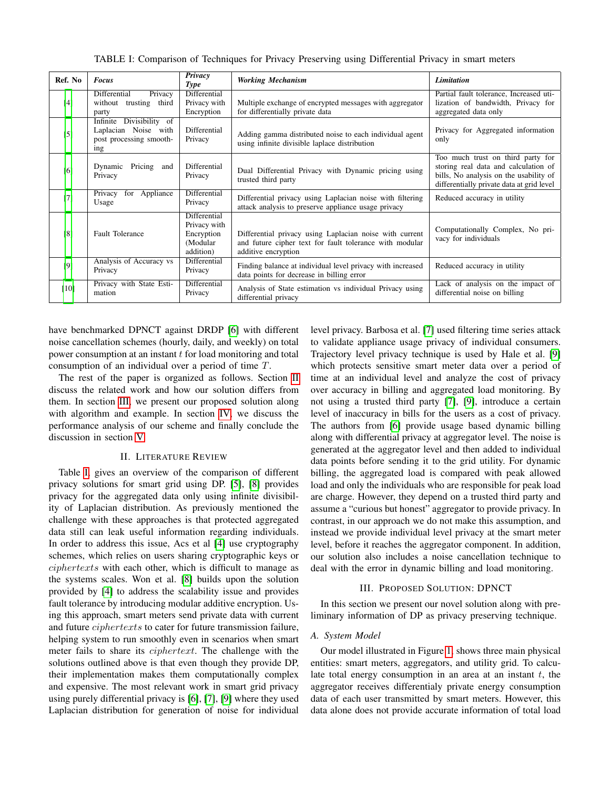TABLE I: Comparison of Techniques for Privacy Preserving using Differential Privacy in smart meters

<span id="page-1-2"></span>

| Ref. No           | <b>Focus</b>                                                                          | Privacy<br><b>Type</b>                                              | <b>Working Mechanism</b>                                                                                                                  | <b>Limitation</b>                                                                                                                                                |
|-------------------|---------------------------------------------------------------------------------------|---------------------------------------------------------------------|-------------------------------------------------------------------------------------------------------------------------------------------|------------------------------------------------------------------------------------------------------------------------------------------------------------------|
| [4]               | Differential<br>Privacy<br>without trusting third<br>party                            | Differential<br>Privacy with<br>Encryption                          | Multiple exchange of encrypted messages with aggregator<br>for differentially private data                                                | Partial fault tolerance, Increased uti-<br>lization of bandwidth, Privacy for<br>aggregated data only                                                            |
| $\lceil 5 \rceil$ | Divisibility of<br>Infinite<br>Laplacian Noise with<br>post processing smooth-<br>ing | Differential<br>Privacy                                             | Adding gamma distributed noise to each individual agent<br>using infinite divisible laplace distribution                                  | Privacy for Aggregated information<br>only                                                                                                                       |
| [6]               | Pricing<br>Dynamic<br>and<br>Privacy                                                  | Differential<br>Privacy                                             | Dual Differential Privacy with Dynamic pricing using<br>trusted third party                                                               | Too much trust on third party for<br>storing real data and calculation of<br>bills, No analysis on the usability of<br>differentially private data at grid level |
| [7]               | for Appliance<br>Privacy<br>Usage                                                     | Differential<br>Privacy                                             | Differential privacy using Laplacian noise with filtering<br>attack analysis to preserve appliance usage privacy                          | Reduced accuracy in utility                                                                                                                                      |
| [8]               | <b>Fault Tolerance</b>                                                                | Differential<br>Privacy with<br>Encryption<br>(Modular<br>addition) | Differential privacy using Laplacian noise with current<br>and future cipher text for fault tolerance with modular<br>additive encryption | Computationally Complex, No pri-<br>vacy for individuals                                                                                                         |
| [9]               | Analysis of Accuracy vs<br>Privacy                                                    | Differential<br>Privacy                                             | Finding balance at individual level privacy with increased<br>data points for decrease in billing error                                   | Reduced accuracy in utility                                                                                                                                      |
| [10]              | Privacy with State Esti-<br>mation                                                    | Differential<br>Privacy                                             | Analysis of State estimation vs individual Privacy using<br>differential privacy                                                          | Lack of analysis on the impact of<br>differential noise on billing                                                                                               |

have benchmarked DPNCT against DRDP [\[6\]](#page-5-6) with different noise cancellation schemes (hourly, daily, and weekly) on total power consumption at an instant  $t$  for load monitoring and total consumption of an individual over a period of time T.

The rest of the paper is organized as follows. Section [II](#page-1-0) discuss the related work and how our solution differs from them. In section [III,](#page-1-1) we present our proposed solution along with algorithm and example. In section [IV,](#page-4-0) we discuss the performance analysis of our scheme and finally conclude the discussion in section [V.](#page-5-10)

#### II. LITERATURE REVIEW

<span id="page-1-0"></span>Table [I,](#page-1-2) gives an overview of the comparison of different privacy solutions for smart grid using DP. [\[5\]](#page-5-3), [\[8\]](#page-5-4) provides privacy for the aggregated data only using infinite divisibility of Laplacian distribution. As previously mentioned the challenge with these approaches is that protected aggregated data still can leak useful information regarding individuals. In order to address this issue, Acs et al [\[4\]](#page-5-7) use cryptography schemes, which relies on users sharing cryptographic keys or ciphertexts with each other, which is difficult to manage as the systems scales. Won et al. [\[8\]](#page-5-4) builds upon the solution provided by [\[4\]](#page-5-7) to address the scalability issue and provides fault tolerance by introducing modular additive encryption. Using this approach, smart meters send private data with current and future ciphertexts to cater for future transmission failure, helping system to run smoothly even in scenarios when smart meter fails to share its ciphertext. The challenge with the solutions outlined above is that even though they provide DP, their implementation makes them computationally complex and expensive. The most relevant work in smart grid privacy using purely differential privacy is [\[6\]](#page-5-6), [\[7\]](#page-5-8), [\[9\]](#page-5-5) where they used Laplacian distribution for generation of noise for individual

level privacy. Barbosa et al. [\[7\]](#page-5-8) used filtering time series attack to validate appliance usage privacy of individual consumers. Trajectory level privacy technique is used by Hale et al. [\[9\]](#page-5-5) which protects sensitive smart meter data over a period of time at an individual level and analyze the cost of privacy over accuracy in billing and aggregated load monitoring. By not using a trusted third party [\[7\]](#page-5-8), [\[9\]](#page-5-5), introduce a certain level of inaccuracy in bills for the users as a cost of privacy. The authors from [\[6\]](#page-5-6) provide usage based dynamic billing along with differential privacy at aggregator level. The noise is generated at the aggregator level and then added to individual data points before sending it to the grid utility. For dynamic billing, the aggregated load is compared with peak allowed load and only the individuals who are responsible for peak load are charge. However, they depend on a trusted third party and assume a "curious but honest" aggregator to provide privacy. In contrast, in our approach we do not make this assumption, and instead we provide individual level privacy at the smart meter level, before it reaches the aggregator component. In addition, our solution also includes a noise cancellation technique to deal with the error in dynamic billing and load monitoring.

## III. PROPOSED SOLUTION: DPNCT

<span id="page-1-1"></span>In this section we present our novel solution along with preliminary information of DP as privacy preserving technique.

## *A. System Model*

Our model illustrated in Figure [1,](#page-2-0) shows three main physical entities: smart meters, aggregators, and utility grid. To calculate total energy consumption in an area at an instant  $t$ , the aggregator receives differentialy private energy consumption data of each user transmitted by smart meters. However, this data alone does not provide accurate information of total load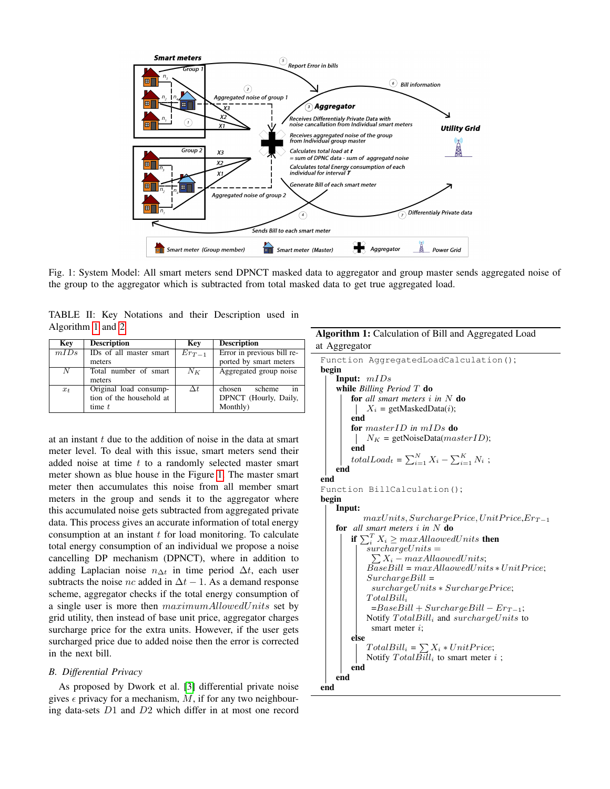<span id="page-2-0"></span>

Fig. 1: System Model: All smart meters send DPNCT masked data to aggregator and group master sends aggregated noise of the group to the aggregator which is subtracted from total masked data to get true aggregated load.

| Key            | <b>Description</b>                                             | Key        | <b>Description</b>                                          |
|----------------|----------------------------------------------------------------|------------|-------------------------------------------------------------|
| mIDs           | IDs of all master smart<br>meters                              | $Er_{T-1}$ | Error in previous bill re-<br>ported by smart meters        |
| $\overline{N}$ | Total number of smart<br>meters                                | $N_K$      | Aggregated group noise                                      |
| $x_t$          | Original load consump-<br>tion of the household at<br>time $t$ | $\Delta t$ | in<br>chosen<br>scheme<br>DPNCT (Hourly, Daily,<br>Monthly) |

<span id="page-2-2"></span>TABLE II: Key Notations and their Description used in Algorithm [1](#page-2-1) and [2](#page-3-0)

```
at an instant t due to the addition of noise in the data at smart
meter level. To deal with this issue, smart meters send their
added noise at time t to a randomly selected master smart
meter shown as blue house in the Figure 1. The master smart
meter then accumulates this noise from all member smart
meters in the group and sends it to the aggregator where
this accumulated noise gets subtracted from aggregated private
data. This process gives an accurate information of total energy
consumption at an instant t for load monitoring. To calculate
total energy consumption of an individual we propose a noise
cancelling DP mechanism (DPNCT), where in addition to
adding Laplacian noise n_{\Delta t} in time period \Delta t, each user
subtracts the noise nc added in \Delta t - 1. As a demand response
scheme, aggregator checks if the total energy consumption of
a single user is more then maximumAllowedUnits set by
grid utility, then instead of base unit price, aggregator charges
surcharge price for the extra units. However, if the user gets
surcharged price due to added noise then the error is corrected
in the next bill.
```
# *B. Differential Privacy*

<span id="page-2-1"></span>As proposed by Dwork et al. [\[3\]](#page-5-2) differential private noise gives  $\epsilon$  privacy for a mechanism, M, if for any two neighbouring data-sets D1 and D2 which differ in at most one record

# Algorithm 1: Calculation of Bill and Aggregated Load at Aggregator

```
Function AggregatedLoadCalculation();
begin
    Input: mIDs
    while Billing Period T do
         for all smart meters i in N do
          X_i = getMaskedData(i);
         end
         for masterID in mIDs do
             N_K = getNoiseData(masterID);
          \overline{\phantom{a}}end
         totalLoad_t = \sum_{i=1}^{N} X_i - \sum_{i=1}^{K} N_i;
    end
end
Function BillCalculation();
begin
    Input:
             max Units, SurfacePrice, UnitPrice,Err-1for all smart meters i in N do
         if \sum_i^T X_i \geq maxAllaowed Units then
             surcharge Units =\begin{array}{l} \textcolor{red}{\sum} X_i - \textcolor{red}{max} \textcolor{red}{All} \textcolor{red}{a} \textcolor{red}{oved} \textcolor{red}{Units}; \end{array}\overline{BaseBill} = maxAllaowed Units *UnitPrice;SurchargeBill =surchargeUnits * SurchargePrice;
             TotalBill_i=BaseBill + SurfaceBill - Er_{T-1};Notify TotalBill_i and surelarge Units to
               smart meter i;
         else
              TotalBill_i = \sum X_i * UnitPrice;Notify Total \overline{Bill}_i to smart meter i;
         end
    end
end
```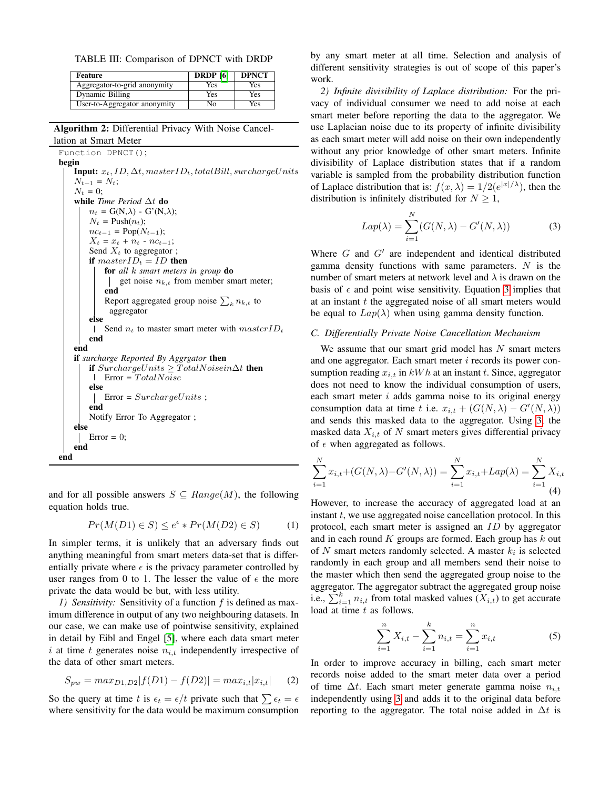<span id="page-3-2"></span>TABLE III: Comparison of DPNCT with DRDP

| Feature                      | <b>DRDP</b> [6] | <b>DPNCT</b> |
|------------------------------|-----------------|--------------|
| Aggregator-to-grid anonymity | Yes             | Yes          |
| Dynamic Billing              | Yes             | Yes          |
| User-to-Aggregator anonymity | Nο              | Yes          |

Algorithm 2: Differential Privacy With Noise Cancellation at Smart Meter

Function DPNCT(); begin

**Input:**  $x_t$ , *ID*,  $\Delta t$ , master*ID*<sub>t</sub>, totalBill, surchargeUnits  $N_{t-1} = N_t;$  $N_t = 0;$ while *Time Period* ∆t do  $n_t = G(N, \lambda) - G'(N, \lambda);$  $N_t$  = Push $(n_t)$ ;  $nc_{t-1} = \text{Pop}(N_{t-1});$  $X_t = x_t + n_t - n c_{t-1};$ Send  $X_t$  to aggregator; if  $masterID_t = ID$  then for *all* k *smart meters in group* do get noise  $n_{k,t}$  from member smart meter; end Report aggregated group noise  $\sum_{k} n_{k,t}$  to aggregator else Send  $n_t$  to master smart meter with  $masterID_t$ end end if *surcharge Reported By Aggrgator* then if  $Surcharge Units > TotalNoisein\Delta t$  then  $\Box$  Error = TotalNoise else  $Error = SurfaceUnits$ ; end Notify Error To Aggregator ; else Error  $= 0$ ; end end

<span id="page-3-0"></span>and for all possible answers  $S \subseteq Range(M)$ , the following equation holds true.

$$
Pr(M(D1) \in S) \le e^{\epsilon} * Pr(M(D2) \in S)
$$
 (1)

In simpler terms, it is unlikely that an adversary finds out anything meaningful from smart meters data-set that is differentially private where  $\epsilon$  is the privacy parameter controlled by user ranges from 0 to 1. The lesser the value of  $\epsilon$  the more private the data would be but, with less utility.

*1) Sensitivity:* Sensitivity of a function f is defined as maximum difference in output of any two neighbouring datasets. In our case, we can make use of pointwise sensitivity, explained in detail by Eibl and Engel [\[5\]](#page-5-3), where each data smart meter i at time  $t$  generates noise  $n_{i,t}$  independently irrespective of the data of other smart meters.

$$
S_{pw} = max_{D1,D2} |f(D1) - f(D2)| = max_{i,t} |x_{i,t}| \qquad (2)
$$

So the query at time t is  $\epsilon_t = \epsilon/t$  private such that  $\sum \epsilon_t = \epsilon$ where sensitivity for the data would be maximum consumption by any smart meter at all time. Selection and analysis of different sensitivity strategies is out of scope of this paper's work.

*2) Infinite divisibility of Laplace distribution:* For the privacy of individual consumer we need to add noise at each smart meter before reporting the data to the aggregator. We use Laplacian noise due to its property of infinite divisibility as each smart meter will add noise on their own independently without any prior knowledge of other smart meters. Infinite divisibility of Laplace distribution states that if a random variable is sampled from the probability distribution function of Laplace distribution that is:  $f(x, \lambda) = 1/2(e^{|x|/\lambda})$ , then the distribution is infinitely distributed for  $N \geq 1$ ,

<span id="page-3-1"></span>
$$
Lap(\lambda) = \sum_{i=1}^{N} (G(N,\lambda) - G'(N,\lambda))
$$
 (3)

Where  $G$  and  $G'$  are independent and identical distributed gamma density functions with same parameters.  $N$  is the number of smart meters at network level and  $\lambda$  is drawn on the basis of  $\epsilon$  and point wise sensitivity. Equation [3](#page-3-1) implies that at an instant  $t$  the aggregated noise of all smart meters would be equal to  $Lap(\lambda)$  when using gamma density function.

## *C. Differentially Private Noise Cancellation Mechanism*

We assume that our smart grid model has  $N$  smart meters and one aggregator. Each smart meter  $i$  records its power consumption reading  $x_{i,t}$  in  $kWh$  at an instant t. Since, aggregator does not need to know the individual consumption of users, each smart meter  $i$  adds gamma noise to its original energy consumption data at time t i.e.  $x_{i,t} + (G(N, \lambda) - G'(N, \lambda))$ and sends this masked data to the aggregator. Using [3,](#page-3-1) the masked data  $X_{i,t}$  of N smart meters gives differential privacy of  $\epsilon$  when aggregated as follows.

$$
\sum_{i=1}^{N} x_{i,t} + (G(N, \lambda) - G'(N, \lambda)) = \sum_{i=1}^{N} x_{i,t} + Lap(\lambda) = \sum_{i=1}^{N} X_{i,t}
$$
\n(4)

However, to increase the accuracy of aggregated load at an instant  $t$ , we use aggregated noise cancellation protocol. In this protocol, each smart meter is assigned an ID by aggregator and in each round  $K$  groups are formed. Each group has  $k$  out of N smart meters randomly selected. A master  $k_i$  is selected randomly in each group and all members send their noise to the master which then send the aggregated group noise to the aggregator. The aggregator subtract the aggregated group noise i.e.,  $\sum_{i=1}^{k} n_{i,t}$  from total masked values  $(X_{i,t})$  to get accurate load at time t as follows.

$$
\sum_{i=1}^{n} X_{i,t} - \sum_{i=1}^{k} n_{i,t} = \sum_{i=1}^{n} x_{i,t}
$$
 (5)

In order to improve accuracy in billing, each smart meter records noise added to the smart meter data over a period of time  $\Delta t$ . Each smart meter generate gamma noise  $n_{i,t}$ independently using [3](#page-3-1) and adds it to the original data before reporting to the aggregator. The total noise added in  $\Delta t$  is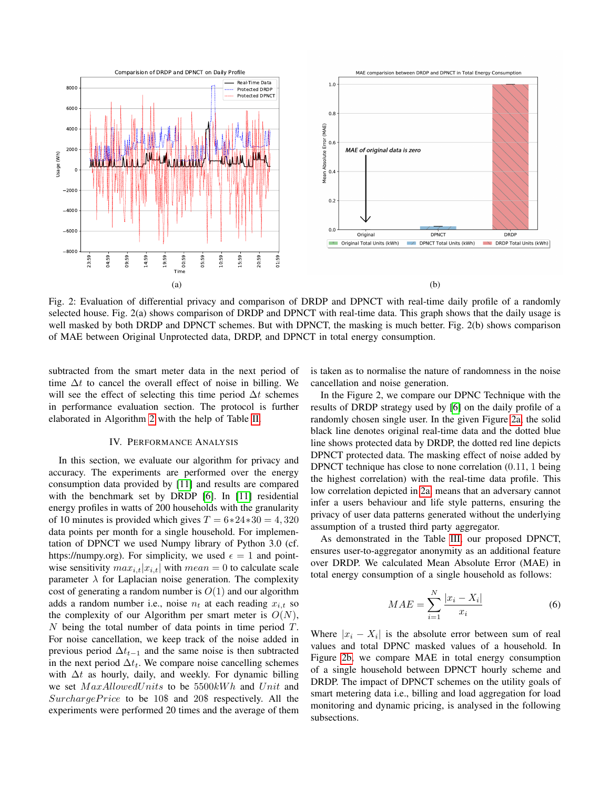<span id="page-4-1"></span>

Fig. 2: Evaluation of differential privacy and comparison of DRDP and DPNCT with real-time daily profile of a randomly selected house. Fig. 2(a) shows comparison of DRDP and DPNCT with real-time data. This graph shows that the daily usage is well masked by both DRDP and DPNCT schemes. But with DPNCT, the masking is much better. Fig. 2(b) shows comparison of MAE between Original Unprotected data, DRDP, and DPNCT in total energy consumption.

subtracted from the smart meter data in the next period of time  $\Delta t$  to cancel the overall effect of noise in billing. We will see the effect of selecting this time period  $\Delta t$  schemes in performance evaluation section. The protocol is further elaborated in Algorithm [2](#page-3-0) with the help of Table [II.](#page-2-2)

## IV. PERFORMANCE ANALYSIS

<span id="page-4-0"></span>In this section, we evaluate our algorithm for privacy and accuracy. The experiments are performed over the energy consumption data provided by [\[11\]](#page-5-11) and results are compared with the benchmark set by DRDP [\[6\]](#page-5-6). In [\[11\]](#page-5-11) residential energy profiles in watts of 200 households with the granularity of 10 minutes is provided which gives  $T = 6*24*30 = 4,320$ data points per month for a single household. For implementation of DPNCT we used Numpy library of Python 3.0 (cf. https://numpy.org). For simplicity, we used  $\epsilon = 1$  and pointwise sensitivity  $max_{i,t}|x_{i,t}|$  with  $mean = 0$  to calculate scale parameter  $\lambda$  for Laplacian noise generation. The complexity cost of generating a random number is  $O(1)$  and our algorithm adds a random number i.e., noise  $n_t$  at each reading  $x_{i,t}$  so the complexity of our Algorithm per smart meter is  $O(N)$ , N being the total number of data points in time period  $T$ . For noise cancellation, we keep track of the noise added in previous period  $\Delta t_{t-1}$  and the same noise is then subtracted in the next period  $\Delta t_t$ . We compare noise cancelling schemes with  $\Delta t$  as hourly, daily, and weekly. For dynamic billing we set  $MaxAllowed Units$  to be  $5500kWh$  and  $Unit$  and SurchargePrice to be 10\$ and 20\$ respectively. All the experiments were performed 20 times and the average of them is taken as to normalise the nature of randomness in the noise cancellation and noise generation.

In the Figure 2, we compare our DPNC Technique with the results of DRDP strategy used by [\[6\]](#page-5-6) on the daily profile of a randomly chosen single user. In the given Figure [2a,](#page-4-1) the solid black line denotes original real-time data and the dotted blue line shows protected data by DRDP, the dotted red line depicts DPNCT protected data. The masking effect of noise added by DPNCT technique has close to none correlation (0.11, 1 being the highest correlation) with the real-time data profile. This low correlation depicted in [2a,](#page-4-1) means that an adversary cannot infer a users behaviour and life style patterns, ensuring the privacy of user data patterns generated without the underlying assumption of a trusted third party aggregator.

As demonstrated in the Table [III,](#page-3-2) our proposed DPNCT, ensures user-to-aggregator anonymity as an additional feature over DRDP. We calculated Mean Absolute Error (MAE) in total energy consumption of a single household as follows:

$$
MAE = \sum_{i=1}^{N} \frac{|x_i - X_i|}{x_i} \tag{6}
$$

Where  $|x_i - X_i|$  is the absolute error between sum of real values and total DPNC masked values of a household. In Figure [2b,](#page-4-1) we compare MAE in total energy consumption of a single household between DPNCT hourly scheme and DRDP. The impact of DPNCT schemes on the utility goals of smart metering data i.e., billing and load aggregation for load monitoring and dynamic pricing, is analysed in the following subsections.